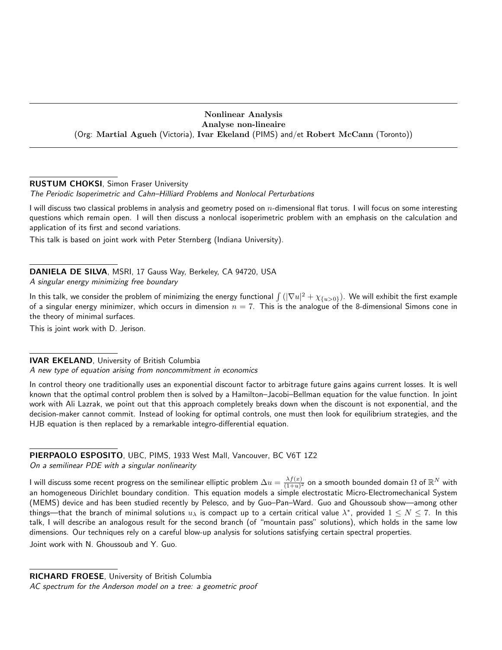# Nonlinear Analysis Analyse non-lineaire (Org: Martial Agueh (Victoria), Ivar Ekeland (PIMS) and/et Robert McCann (Toronto))

# RUSTUM CHOKSI, Simon Fraser University

The Periodic Isoperimetric and Cahn–Hilliard Problems and Nonlocal Perturbations

I will discuss two classical problems in analysis and geometry posed on n-dimensional flat torus. I will focus on some interesting questions which remain open. I will then discuss a nonlocal isoperimetric problem with an emphasis on the calculation and application of its first and second variations.

This talk is based on joint work with Peter Sternberg (Indiana University).

DANIELA DE SILVA, MSRI, 17 Gauss Way, Berkeley, CA 94720, USA A singular energy minimizing free boundary

In this talk, we consider the problem of minimizing the energy functional  $\int (|\nabla u|^2+\chi_{\{u>0\}}).$  We will exhibit the first example of a singular energy minimizer, which occurs in dimension  $n = 7$ . This is the analogue of the 8-dimensional Simons cone in the theory of minimal surfaces.

This is joint work with D. Jerison.

# IVAR EKELAND, University of British Columbia

A new type of equation arising from noncommitment in economics

In control theory one traditionally uses an exponential discount factor to arbitrage future gains agains current losses. It is well known that the optimal control problem then is solved by a Hamilton–Jacobi–Bellman equation for the value function. In joint work with Ali Lazrak, we point out that this approach completely breaks down when the discount is not exponential, and the decision-maker cannot commit. Instead of looking for optimal controls, one must then look for equilibrium strategies, and the HJB equation is then replaced by a remarkable integro-differential equation.

# PIERPAOLO ESPOSITO, UBC, PIMS, 1933 West Mall, Vancouver, BC V6T 1Z2

On a semilinear PDE with a singular nonlinearity

I will discuss some recent progress on the semilinear elliptic problem  $\Delta u = \frac{\lambda f(x)}{(1+w)^2}$  $\frac{\lambda f(x)}{(1+u)^2}$  on a smooth bounded domain  $\Omega$  of  $\mathbb{R}^N$  with an homogeneous Dirichlet boundary condition. This equation models a simple electrostatic Micro-Electromechanical System (MEMS) device and has been studied recently by Pelesco, and by Guo–Pan–Ward. Guo and Ghoussoub show—among other things—that the branch of minimal solutions  $u_\lambda$  is compact up to a certain critical value  $\lambda^*$ , provided  $1\leq N\leq 7.$  In this talk, I will describe an analogous result for the second branch (of "mountain pass" solutions), which holds in the same low dimensions. Our techniques rely on a careful blow-up analysis for solutions satisfying certain spectral properties.

Joint work with N. Ghoussoub and Y. Guo.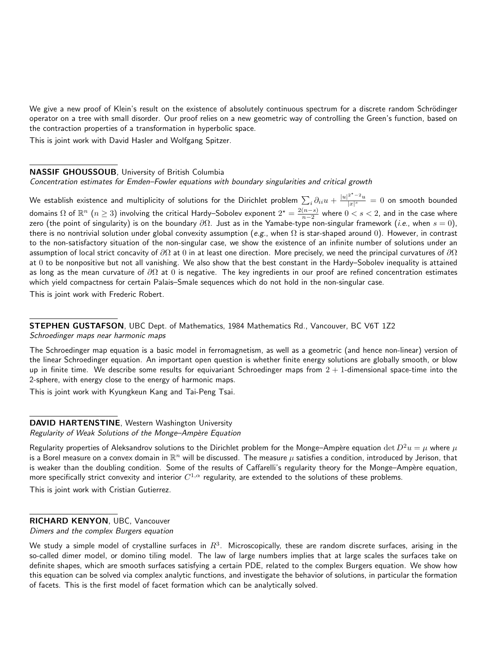We give a new proof of Klein's result on the existence of absolutely continuous spectrum for a discrete random Schrödinger operator on a tree with small disorder. Our proof relies on a new geometric way of controlling the Green's function, based on the contraction properties of a transformation in hyperbolic space.

This is joint work with David Hasler and Wolfgang Spitzer.

#### NASSIF GHOUSSOUB, University of British Columbia

Concentration estimates for Emden–Fowler equations with boundary singularities and critical growth

We establish existence and multiplicity of solutions for the Dirichlet problem  $\sum_i\partial_{ii}u+\frac{|u|^{2^*-2}u}{|x|^s}$  $\frac{u}{|x|^s}=0$  on smooth bounded domains  $\Omega$  of  $\mathbb{R}^n$   $(n \geq 3)$  involving the critical Hardy–Sobolev exponent  $2^\star = \frac{2(n-s)}{n-2}$  $\frac{(n-s)}{n-2}$  where  $0 < s < 2$ , and in the case where zero (the point of singularity) is on the boundary  $\partial\Omega$ . Just as in the Yamabe-type non-singular framework (*i.e.*, when  $s = 0$ ), there is no nontrivial solution under global convexity assumption (e.g., when  $\Omega$  is star-shaped around 0). However, in contrast to the non-satisfactory situation of the non-singular case, we show the existence of an infinite number of solutions under an assumption of local strict concavity of  $\partial\Omega$  at 0 in at least one direction. More precisely, we need the principal curvatures of  $\partial\Omega$ at 0 to be nonpositive but not all vanishing. We also show that the best constant in the Hardy–Sobolev inequality is attained as long as the mean curvature of  $\partial\Omega$  at 0 is negative. The key ingredients in our proof are refined concentration estimates which yield compactness for certain Palais–Smale sequences which do not hold in the non-singular case.

This is joint work with Frederic Robert.

STEPHEN GUSTAFSON, UBC Dept. of Mathematics, 1984 Mathematics Rd., Vancouver, BC V6T 1Z2 Schroedinger maps near harmonic maps

The Schroedinger map equation is a basic model in ferromagnetism, as well as a geometric (and hence non-linear) version of the linear Schroedinger equation. An important open question is whether finite energy solutions are globally smooth, or blow up in finite time. We describe some results for equivariant Schroedinger maps from  $2 + 1$ -dimensional space-time into the 2-sphere, with energy close to the energy of harmonic maps.

This is joint work with Kyungkeun Kang and Tai-Peng Tsai.

DAVID HARTENSTINE, Western Washington University Regularity of Weak Solutions of the Monge-Ampère Equation

Regularity properties of Aleksandrov solutions to the Dirichlet problem for the Monge–Ampère equation det  $D^2u = \mu$  where  $\mu$ is a Borel measure on a convex domain in  $\mathbb{R}^n$  will be discussed. The measure  $\mu$  satisfies a condition, introduced by Jerison, that is weaker than the doubling condition. Some of the results of Caffarelli's regularity theory for the Monge–Ampère equation, more specifically strict convexity and interior  $C^{1,\alpha}$  regularity, are extended to the solutions of these problems. This is joint work with Cristian Gutierrez.

#### RICHARD KENYON, UBC, Vancouver

Dimers and the complex Burgers equation

We study a simple model of crystalline surfaces in  $R^3$ . Microscopically, these are random discrete surfaces, arising in the so-called dimer model, or domino tiling model. The law of large numbers implies that at large scales the surfaces take on definite shapes, which are smooth surfaces satisfying a certain PDE, related to the complex Burgers equation. We show how this equation can be solved via complex analytic functions, and investigate the behavior of solutions, in particular the formation of facets. This is the first model of facet formation which can be analytically solved.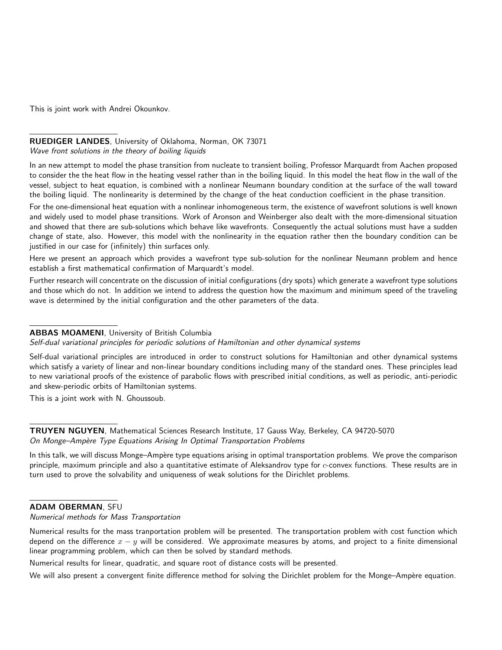This is joint work with Andrei Okounkov.

#### RUEDIGER LANDES, University of Oklahoma, Norman, OK 73071 Wave front solutions in the theory of boiling liquids

In an new attempt to model the phase transition from nucleate to transient boiling, Professor Marquardt from Aachen proposed to consider the the heat flow in the heating vessel rather than in the boiling liquid. In this model the heat flow in the wall of the vessel, subject to heat equation, is combined with a nonlinear Neumann boundary condition at the surface of the wall toward the boiling liquid. The nonlinearity is determined by the change of the heat conduction coefficient in the phase transition.

For the one-dimensional heat equation with a nonlinear inhomogeneous term, the existence of wavefront solutions is well known and widely used to model phase transitions. Work of Aronson and Weinberger also dealt with the more-dimensional situation and showed that there are sub-solutions which behave like wavefronts. Consequently the actual solutions must have a sudden change of state, also. However, this model with the nonlinearity in the equation rather then the boundary condition can be justified in our case for (infinitely) thin surfaces only.

Here we present an approach which provides a wavefront type sub-solution for the nonlinear Neumann problem and hence establish a first mathematical confirmation of Marquardt's model.

Further research will concentrate on the discussion of initial configurations (dry spots) which generate a wavefront type solutions and those which do not. In addition we intend to address the question how the maximum and minimum speed of the traveling wave is determined by the initial configuration and the other parameters of the data.

# ABBAS MOAMENI, University of British Columbia

#### Self-dual variational principles for periodic solutions of Hamiltonian and other dynamical systems

Self-dual variational principles are introduced in order to construct solutions for Hamiltonian and other dynamical systems which satisfy a variety of linear and non-linear boundary conditions including many of the standard ones. These principles lead to new variational proofs of the existence of parabolic flows with prescribed initial conditions, as well as periodic, anti-periodic and skew-periodic orbits of Hamiltonian systems.

This is a joint work with N. Ghoussoub.

#### TRUYEN NGUYEN, Mathematical Sciences Research Institute, 17 Gauss Way, Berkeley, CA 94720-5070 On Monge-Ampère Type Equations Arising In Optimal Transportation Problems

In this talk, we will discuss Monge–Ampère type equations arising in optimal transportation problems. We prove the comparison principle, maximum principle and also a quantitative estimate of Aleksandrov type for  $c$ -convex functions. These results are in turn used to prove the solvability and uniqueness of weak solutions for the Dirichlet problems.

# ADAM OBERMAN, SFU

#### Numerical methods for Mass Transportation

Numerical results for the mass tranportation problem will be presented. The transportation problem with cost function which depend on the difference  $x - y$  will be considered. We approximate measures by atoms, and project to a finite dimensional linear programming problem, which can then be solved by standard methods.

Numerical results for linear, quadratic, and square root of distance costs will be presented.

We will also present a convergent finite difference method for solving the Dirichlet problem for the Monge–Ampère equation.